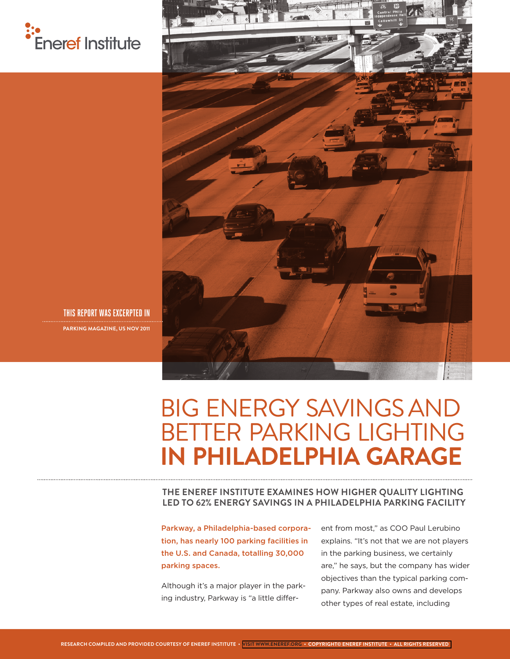



**THIS REPORT WAS EXCERPTED IN PARKING MAGAZINE, US NOV 2011**

# BIG ENERGY SAVINGS AND BETTER PARKING LIGHTING **IN PHILADELPHIA GARAGE**

**THE ENEREF INSTITUTE EXAMINES HOW HIGHER QUALITY LIGHTING LED TO 62% ENERGY SAVINGS IN A PHILADELPHIA PARKING FACILITY**

Parkway, a Philadelphia-based corporation, has nearly 100 parking facilities in the U.S. and Canada, totalling 30,000 parking spaces.

Although it's a major player in the parking industry, Parkway is "a little different from most," as COO Paul Lerubino explains. "It's not that we are not players in the parking business, we certainly are," he says, but the company has wider objectives than the typical parking company. Parkway also owns and develops other types of real estate, including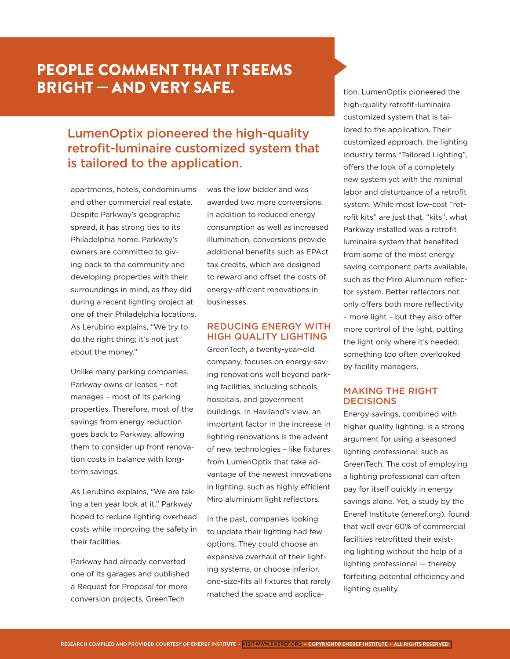## PEOPLE COMMENT THAT IT SEEMS BRIGHT — AND VERY SAFE.

### LumenOptix pioneered the high-quality retrofit-luminaire customized system that is tailored to the application.

apartments, hotels, condominiums and other commercial real estate. Despite Parkway's geographic spread, it has strong ties to its Philadelphia home. Parkway's owners are committed to giving back to the community and developing properties with their surroundings in mind, as they did during a recent lighting project at one of their Philadelphia locations. As Lerubino explains, "We try to do the right thing; it's not just about the money."

Unlike many parking companies, Parkway owns or leases – not manages – most of its parking properties. Therefore, most of the savings from energy reduction goes back to Parkway, allowing them to consider up front renovation costs in balance with longterm savings.

As Lerubino explains, "We are taking a ten year look at it." Parkway hoped to reduce lighting overhead costs while improving the safety in their facilities.

Parkway had already converted one of its garages and published a Request for Proposal for more conversion projects. GreenTech

was the low bidder and was awarded two more conversions. In addition to reduced energy consumption as well as increased illumination, conversions provide additional benefits such as EPAct tax credits, which are designed to reward and offset the costs of energy-efficient renovations in businesses.

#### REDUCING ENERGY WITH HIGH QUALITY LIGHTING

GreenTech, a twenty-year-old company, focuses on energy-saving renovations well beyond parking facilities, including schools, hospitals, and government buildings. In Haviland's view, an important factor in the increase in lighting renovations is the advent of new technologies – like fixtures from LumenOptix that take advantage of the newest innovations in lighting, such as highly efficient Miro aluminium light reflectors.

In the past, companies looking to update their lighting had few options. They could choose an expensive overhaul of their lighting systems, or choose inferior, one-size-fits all fixtures that rarely matched the space and application. LumenOptix pioneered the high-quality retrofit-luminaire customized system that is tailored to the application. Their customized approach, the lighting industry terms "Tailored Lighting", offers the look of a completely new system yet with the minimal labor and disturbance of a retrofit system. While most low-cost "retrofit kits" are just that, "kits", what Parkway installed was a retrofit luminaire system that benefited from some of the most energy saving component parts available, such as the Miro Aluminum reflector system. Better reflectors not only offers both more reflectivity – more light – but they also offer more control of the light, putting the light only where it's needed; something too often overlooked by facility managers.

#### MAKING THE RIGHT **DECISIONS**

Energy savings, combined with higher quality lighting, is a strong argument for using a seasoned lighting professional, such as GreenTech. The cost of employing a lighting professional can often pay for itself quickly in energy savings alone. Yet, a study by the Eneref Institute (eneref.org), found that well over 60% of commercial facilities retrofitted their existing lighting without the help of a lighting professional — thereby forfeiting potential efficiency and lighting quality.